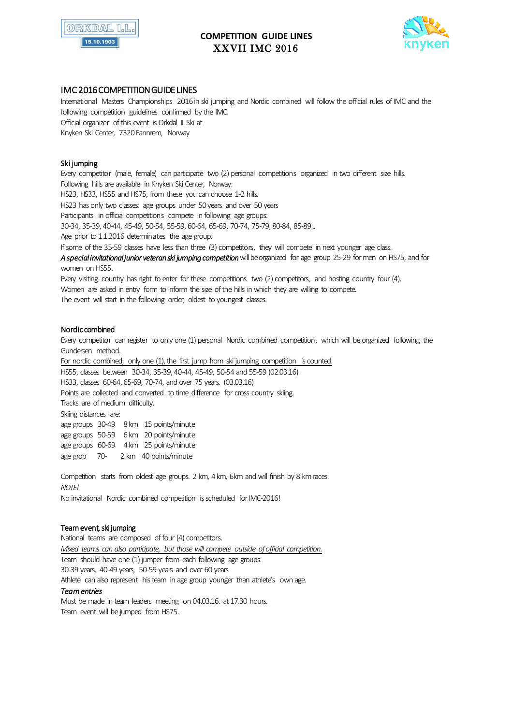

# **COMPETITION GUIDE LINES** XXVII IMC 2016



# IMC 2016 COMPETITION GUIDE LINES

International Masters Championships 2016in ski jumping and Nordic combined will follow the official rules of IMC and the following competition guidelines confirmed by the IMC. Official organizer of this event is Orkdal IL Ski at Knyken Ski Center, 7320 Fannrem, Norway

# Ski jumping

Every competitor (male, female) can participate two (2) personal competitions organized in two different size hills. Following hills are available in Knyken Ski Center, Norway: HS23, HS33, HS55 and HS75, from these you can choose 1-2 hills. HS23 has only two classes: age groups under 50 years and over 50 years Participants in official competitions compete in following age groups: 30-34, 35-39, 40-44, 45-49, 50-54, 55-59, 60-64, 65-69, 70-74, 75-79, 80-84, 85-89... Age prior to 1.1.2016 determinates the age group. If some of the 35-59 classes have less than three (3) competitors, they will compete in next younger age class. *A special invitational junior veteran ski jumping competition* will be organized for age group 25-29 for men on HS75, and for women on HS55. Every visiting country has right to enter for these competitions two (2) competitors, and hosting country four (4).

Women are asked in entry form to inform the size of the hills in which they are willing to compete. The event will start in the following order, oldest to youngest classes.

#### Nordic combined

Every competitor can register to only one (1) personal Nordic combined competition, which will be organized following the Gundersen method.

For nordic combined, only one (1), the first jump from ski jumping competition is counted. HS55, classes between 30-34, 35-39, 40-44, 45-49, 50-54 and 55-59 (02.03.16) HS33, classes 60-64, 65-69, 70-74, and over 75 years. (03.03.16) Points are collected and converted to time difference for cross country skiing. Tracks are of medium difficulty. Skiing distances are: age groups 30-49 8 km 15 points/minute age groups 50-59 6 km 20 points/minute age groups 60-69 4 km 25 points/minute age grop 70- 2 km 40 points/minute

Competition starts from oldest age groups. 2 km, 4 km, 6km and will finish by 8 km races. *NOTE!* No invitational Nordic combined competition is scheduled for IMC-2016!

#### Team event, ski jumping

National teams are composed of four (4) competitors. *Mixed teams can also participate, but those will compete outside of official competition.*  Team should have one (1) jumper from each following age groups: 30-39 years, 40-49 years, 50-59 years and over 60 years Athlete can also represent his team in age group younger than athlete's own age. *Team entries*  Must be made in team leaders meeting on 04.03.16. at 17.30 hours.

Team event will be jumped from HS75.